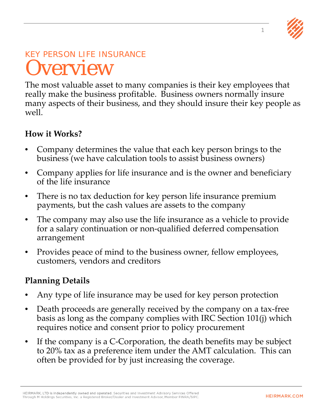

### KEY PERSON LIFE INSURANCE **Overview**

The most valuable asset to many companies is their key employees that really make the business profitable. Business owners normally insure many aspects of their business, and they should insure their key people as well.

#### **How it Works?**

- Company determines the value that each key person brings to the business (we have calculation tools to assist business owners)
- Company applies for life insurance and is the owner and beneficiary of the life insurance
- There is no tax deduction for key person life insurance premium payments, but the cash values are assets to the company
- The company may also use the life insurance as a vehicle to provide for a salary continuation or non-qualified deferred compensation arrangement
- Provides peace of mind to the business owner, fellow employees, customers, vendors and creditors

#### **Planning Details**

- Any type of life insurance may be used for key person protection
- Death proceeds are generally received by the company on a tax-free basis as long as the company complies with IRC Section 101(j) which requires notice and consent prior to policy procurement
- If the company is a C-Corporation, the death benefits may be subject to 20% tax as a preference item under the AMT calculation. This can often be provided for by just increasing the coverage.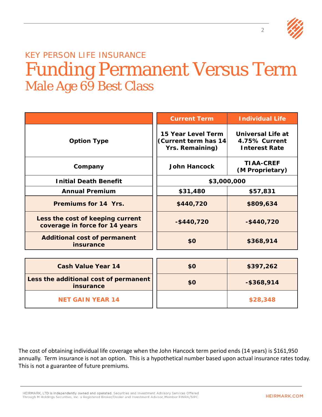

### KEY PERSON LIFE INSURANCE Funding Permanent Versus Term Male Age 69 Best Class

|                                                                    | <b>Current Term</b>                                                  | <b>Individual Life</b>                                            |
|--------------------------------------------------------------------|----------------------------------------------------------------------|-------------------------------------------------------------------|
| <b>Option Type</b>                                                 | 15 Year Level Term<br>(Current term has 14<br><b>Yrs. Remaining)</b> | <b>Universal Life at</b><br>4.75% Current<br><b>Interest Rate</b> |
| Company                                                            | <b>John Hancock</b>                                                  | <b>TIAA-CREF</b><br>(M Proprietary)                               |
| <b>Initial Death Benefit</b>                                       | \$3,000,000                                                          |                                                                   |
| <b>Annual Premium</b>                                              | \$31,480                                                             | \$57,831                                                          |
| Premiums for 14 Yrs.                                               | \$440,720                                                            | \$809,634                                                         |
| Less the cost of keeping current<br>coverage in force for 14 years | $-$ \$440,720                                                        | $-$ \$440,720                                                     |
| <b>Additional cost of permanent</b><br>insurance                   | \$0                                                                  | \$368,914                                                         |
|                                                                    |                                                                      |                                                                   |
| <b>Cash Value Year 14</b>                                          | \$0                                                                  | \$397,262                                                         |
| Less the additional cost of permanent<br><b>insurance</b>          | \$0                                                                  | $-$ \$368,914                                                     |
| <b>NET GAIN YEAR 14</b>                                            |                                                                      | \$28,348                                                          |

The cost of obtaining individual life coverage when the John Hancock term period ends (14 years) is \$161,950 annually. Term insurance is not an option. This is a hypothetical number based upon actual insurance rates today. This is not a guarantee of future premiums.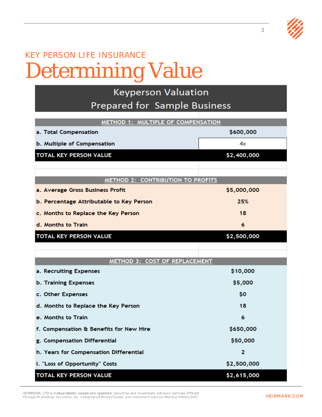## KEY PERSON LIFE INSURANCE Determining Value

| <b>Keyperson Valuation</b>               |             |  |
|------------------------------------------|-------------|--|
| <b>Prepared for Sample Business</b>      |             |  |
| METHOD 1: MULTIPLE OF COMPENSATION       |             |  |
| a. Total Compensation                    | \$600,000   |  |
| b. Multiple of Compensation              | 4х          |  |
| <b>TOTAL KEY PERSON VALUE</b>            |             |  |
|                                          | \$2,400,000 |  |
|                                          |             |  |
| <b>METHOD 2: CONTRIBUTION TO PROFITS</b> |             |  |
| a. Average Gross Business Profit         | \$5,000,000 |  |
| b. Percentage Attributable to Key Person | 25%         |  |
| c. Months to Replace the Key Person      | 18          |  |
| d. Months to Train                       | 6           |  |
| <b>TOTAL KEY PERSON VALUE</b>            | \$2,500,000 |  |
|                                          |             |  |
| METHOD 3: COST OF REPLACEMENT            |             |  |
| a. Recruiting Expenses                   | \$10,000    |  |
| <b>b. Training Expenses</b>              | \$5,000     |  |
| c. Other Expenses                        | \$0         |  |
|                                          | 18          |  |
| d. Months to Replace the Key Person      |             |  |
| e. Months to Train                       | 6           |  |
| f. Compensation & Benefits for New Hire  | \$650,000   |  |
| g. Compensation Differential             | \$50,000    |  |
| h. Years for Compensation Differential   | 2           |  |
| i. "Loss of Opportunity" Costs           | \$2,500,000 |  |
| TOTAL KEY PERSON VALUE                   | \$2,615,000 |  |

HEIRMARK, LTD is independently owned and operated. Securities and Investment Advisory Services Offered Through M Holdings Securities, Inc. a Registered Broker/Dealer and Investment Advisor, Member FINRA/SIPC.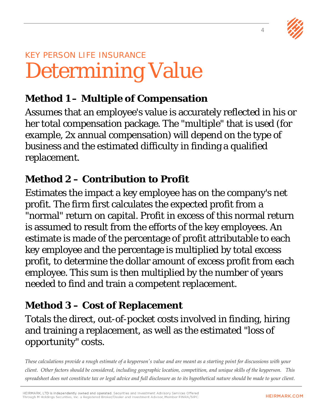4



# KEY PERSON LIFE INSURANCE Determining Value

### **Method 1 – Multiple of Compensation**

Assumes that an employee's value is accurately reflected in his or her total compensation package. The "multiple" that is used (for example, 2x annual compensation) will depend on the type of business and the estimated difficulty in finding a qualified replacement.

### **Method 2 – Contribution to Profit**

Estimates the impact a key employee has on the company's net profit. The firm first calculates the expected profit from a "normal" return on capital. Profit in excess of this normal return is assumed to result from the efforts of the key employees. An estimate is made of the percentage of profit attributable to each key employee and the percentage is multiplied by total excess profit, to determine the dollar amount of excess profit from each employee. This sum is then multiplied by the number of years needed to find and train a competent replacement.

### **Method 3 – Cost of Replacement**

Totals the direct, out-of-pocket costs involved in finding, hiring and training a replacement, as well as the estimated "loss of opportunity" costs.

*These calculations provide a rough estimate of a keyperson's value and are meant as a starting point for discussions with your client. Other factors should be considered, including geographic location, competition, and unique skills of the keyperson. This spreadsheet does not constitute tax or legal advice and full disclosure as to its hypothetical nature should be made to your client.*